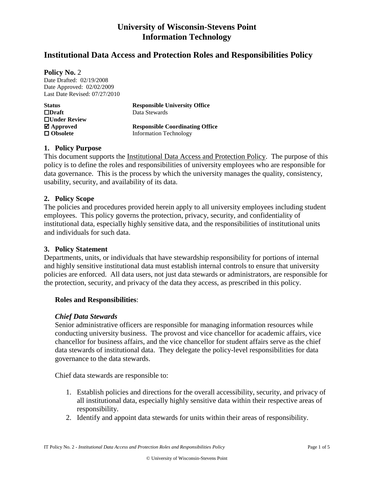## **University of Wisconsin-Stevens Point Information Technology**

## **Institutional Data Access and Protection Roles and Responsibilities Policy**

**Policy No.** 2

Date Drafted: 02/19/2008 Date Approved: 02/02/2009 Last Date Revised: 07/27/2010

| <b>Status</b>              | <b>Responsible University Office</b>   |  |
|----------------------------|----------------------------------------|--|
| $\Box$ Draft               | Data Stewards                          |  |
| $\Box$ Under Review        |                                        |  |
| $\mathbf{\nabla}$ Approved | <b>Responsible Coordinating Office</b> |  |
| $\Box$ Obsolete            | <b>Information Technology</b>          |  |

### **1. Policy Purpose**

This document supports the Institutional Data Access and Protection Policy. The purpose of this policy is to define the roles and responsibilities of university employees who are responsible for data governance. This is the process by which the university manages the quality, consistency, usability, security, and availability of its data.

### **2. Policy Scope**

The policies and procedures provided herein apply to all university employees including student employees. This policy governs the protection, privacy, security, and confidentiality of institutional data, especially highly sensitive data, and the responsibilities of institutional units and individuals for such data.

#### **3. Policy Statement**

Departments, units, or individuals that have stewardship responsibility for portions of internal and highly sensitive institutional data must establish internal controls to ensure that university policies are enforced. All data users, not just data stewards or administrators, are responsible for the protection, security, and privacy of the data they access, as prescribed in this policy.

### **Roles and Responsibilities**:

#### *Chief Data Stewards*

Senior administrative officers are responsible for managing information resources while conducting university business. The provost and vice chancellor for academic affairs, vice chancellor for business affairs, and the vice chancellor for student affairs serve as the chief data stewards of institutional data. They delegate the policy-level responsibilities for data governance to the data stewards.

Chief data stewards are responsible to:

- 1. Establish policies and directions for the overall accessibility, security, and privacy of all institutional data, especially highly sensitive data within their respective areas of responsibility.
- 2. Identify and appoint data stewards for units within their areas of responsibility.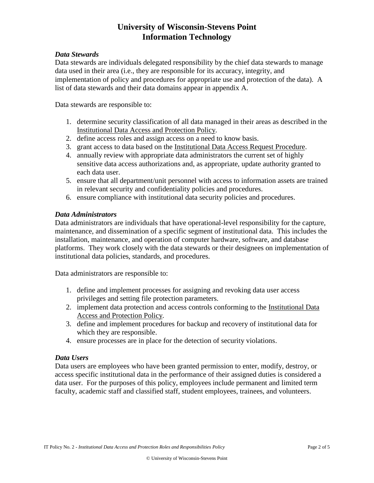## **University of Wisconsin-Stevens Point Information Technology**

### *Data Stewards*

Data stewards are individuals delegated responsibility by the chief data stewards to manage data used in their area (i.e., they are responsible for its accuracy, integrity, and implementation of policy and procedures for appropriate use and protection of the data). A list of data stewards and their data domains appear in appendix A.

Data stewards are responsible to:

- 1. determine security classification of all data managed in their areas as described in the [Institutional Data Access and Protection Policy](http://cio.uiowa.edu/policy/policy-InstitutionalDataAccess.shtml)*.*
- 2. define access roles and assign access on a need to know basis.
- 3. grant access to data based on the Institutional Data Access Request Procedure.
- 4. annually review with appropriate data administrators the current set of highly sensitive data access authorizations and, as appropriate, update authority granted to each data user.
- 5. ensure that all department/unit personnel with access to information assets are trained in relevant security and confidentiality policies and procedures.
- 6. ensure compliance with institutional data security policies and procedures.

#### *Data Administrators*

Data administrators are individuals that have operational-level responsibility for the capture, maintenance, and dissemination of a specific segment of institutional data. This includes the installation, maintenance, and operation of computer hardware, software, and database platforms. They work closely with the data stewards or their designees on implementation of institutional data policies, standards, and procedures.

Data administrators are responsible to:

- 1. define and implement processes for assigning and revoking data user access privileges and setting file protection parameters.
- 2. implement data protection and access controls conforming to the [Institutional Data](http://cio.uiowa.edu/policy/policy-InstitutionalDataAccess.shtml) [Access and Protection Policy](http://cio.uiowa.edu/policy/policy-InstitutionalDataAccess.shtml)*.*
- 3. define and implement procedures for backup and recovery of institutional data for which they are responsible.
- 4. ensure processes are in place for the detection of security violations.

#### *Data Users*

Data users are employees who have been granted permission to enter, modify, destroy, or access specific institutional data in the performance of their assigned duties is considered a data user. For the purposes of this policy, employees include permanent and limited term faculty, academic staff and classified staff, student employees, trainees, and volunteers.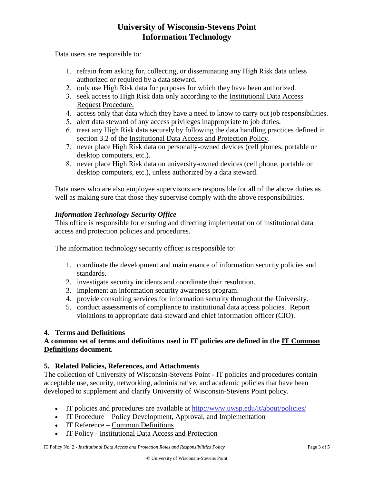## **University of Wisconsin-Stevens Point Information Technology**

Data users are responsible to:

- 1. refrain from asking for, collecting, or disseminating any High Risk data unless authorized or required by a data steward.
- 2. only use High Risk data for purposes for which they have been authorized.
- 3. seek access to High Risk data only according to the Institutional Data Access Request Procedure.
- 4. access only that data which they have a need to know to carry out job responsibilities.
- 5. alert data steward of any access privileges inappropriate to job duties.
- 6. treat any High Risk data securely by following the data handling practices defined in section 3.2 of the Institutional Data Access and Protection Policy.
- 7. never place High Risk data on personally-owned devices (cell phones, portable or desktop computers, etc.).
- 8. never place High Risk data on university-owned devices (cell phone, portable or desktop computers, etc.), unless authorized by a data steward.

Data users who are also employee supervisors are responsible for all of the above duties as well as making sure that those they supervise comply with the above responsibilities.

### *Information Technology Security Office*

This office is responsible for ensuring and directing implementation of institutional data access and protection policies and procedures.

The information technology security officer is responsible to:

- 1. coordinate the development and maintenance of information security policies and standards.
- 2. investigate security incidents and coordinate their resolution.
- 3. implement an information security awareness program.
- 4. provide consulting services for information security throughout the University.
- 5. conduct assessments of compliance to institutional data access policies. Report violations to appropriate data steward and chief information officer (CIO).

### **4. Terms and Definitions**

### **A common set of terms and definitions used in IT policies are defined in the IT Common Definitions document.**

### **5. Related Policies, References, and Attachments**

The collection of University of Wisconsin-Stevens Point - IT policies and procedures contain acceptable use, security, networking, administrative, and academic policies that have been developed to supplement and clarify University of Wisconsin-Stevens Point policy.

- IT policies and procedures are available at<http://www.uwsp.edu/it/about/policies/>
- IT Procedure Policy Development, Approval, and Implementation
- IT Reference Common Definitions
- IT Policy Institutional Data Access and Protection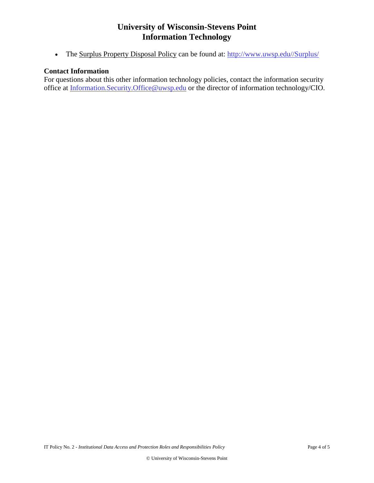## **University of Wisconsin-Stevens Point Information Technology**

• The Surplus Property Disposal Policy can be found at: [http://www.uwsp.edu//Surplus/](http://www.uwsp.edu/Surplus/)

### **Contact Information**

For questions about this other information technology policies, contact the information security office at [Information.Security.Office@uwsp.edu](mailto:Information.Security.Office@uwsp.edu) or the director of information technology/CIO.